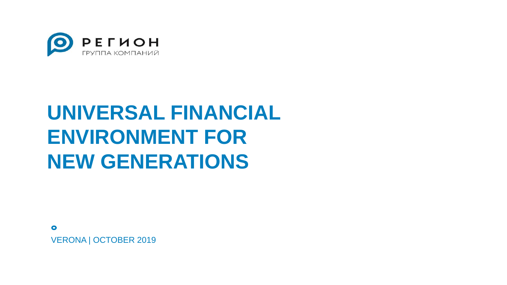

## **UNIVERSAL FINANCIAL ENVIRONMENT FOR NEW GENERATIONS**

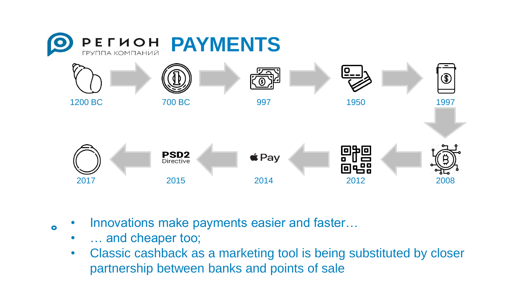

- Innovations make payments easier and faster...
	- ... and cheaper too;

 $\bullet$ 

• Classic cashback as a marketing tool is being substituted by closer partnership between banks and points of sale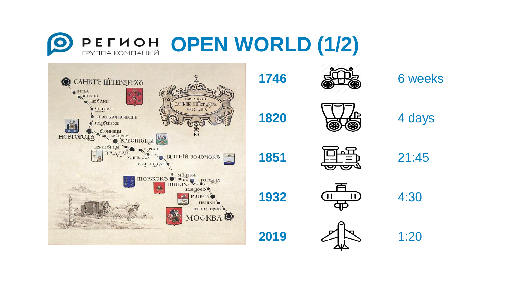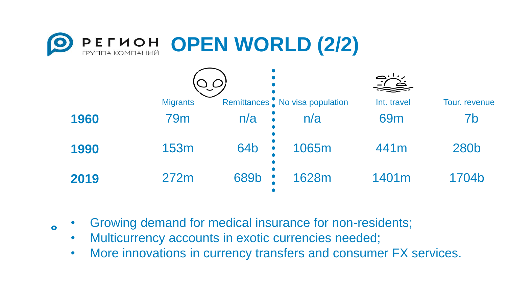



- Growing demand for medical insurance for non-residents;
	- Multicurrency accounts in exotic currencies needed;

 $\bullet$ 

• More innovations in currency transfers and consumer FX services.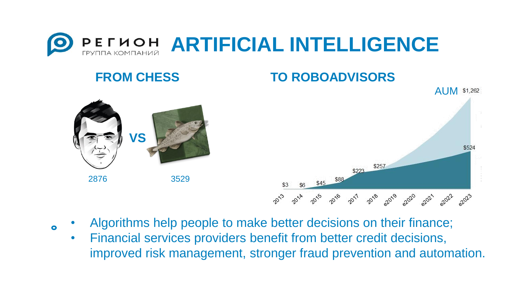

## **FROM CHESS**

**VS**

2876 3529



- Algorithms help people to make better decisions on their finance;
	- Financial services providers benefit from better credit decisions, improved risk management, stronger fraud prevention and automation.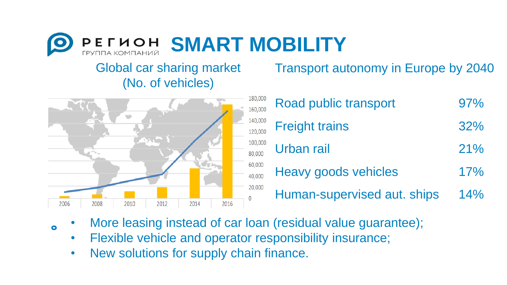

## Global car sharing market (No. of vehicles)



| Transport autonomy in Europe by 2040 |  |  |
|--------------------------------------|--|--|
|--------------------------------------|--|--|

| 000<br>000 | Road public transport       | 97% |
|------------|-----------------------------|-----|
| 000<br>000 | <b>Freight trains</b>       | 32% |
| 000<br>ÒΟ  | <b>Urban rail</b>           | 21% |
| 00<br>0Ò   | <b>Heavy goods vehicles</b> | 17% |
| 00         | Human-supervised aut. ships | 14% |

- More leasing instead of car loan (residual value guarantee);
	- Flexible vehicle and operator responsibility insurance;
	- New solutions for supply chain finance.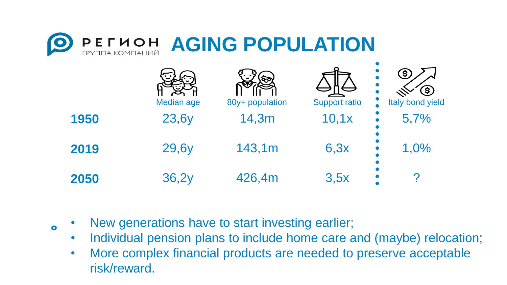

|      | Median age | ৻হ্ন<br>80y+ population | <b>Support ratio</b> | S.<br>$\bigcirc$<br>Italy bond yield |
|------|------------|-------------------------|----------------------|--------------------------------------|
| 1950 | 23,6y      | 14,3m                   | 10,1x                | 5,7%                                 |
| 2019 | 29,6y      | 143,1m                  | 6,3x                 | 1,0%                                 |
| 2050 | 36,2y      | 426,4m                  | 3,5x                 | n                                    |

• New generations have to start investing earlier;

- Individual pension plans to include home care and (maybe) relocation;
- More complex financial products are needed to preserve acceptable risk/reward.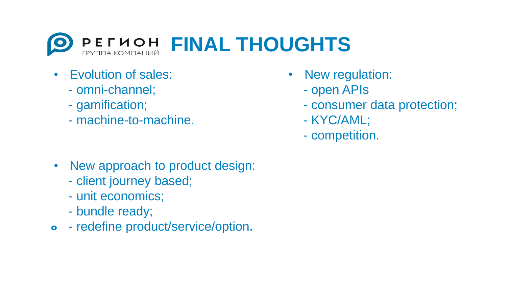

- Evolution of sales:
	- omni-channel;
	- gamification;
	- machine-to-machine.
- New regulation:
	- open APIs
	- consumer data protection;
	- KYC/AML;
	- competition.

- New approach to product design:
	- client journey based;
	- unit economics;
	- bundle ready;
- redefine product/service/option.